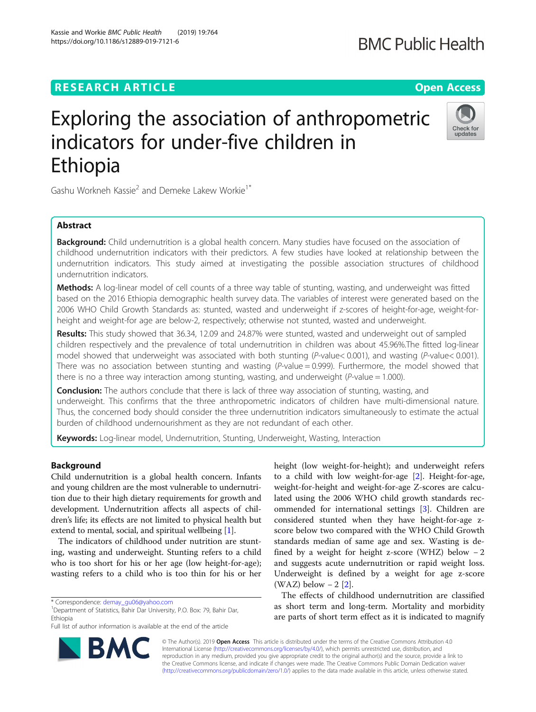## **RESEARCH ARTICLE Example 2014 12:30 The Open Access**

https://doi.org/10.1186/s12889-019-7121-6

Kassie and Workie BMC Public Health (2019) 19:764

# Exploring the association of anthropometric indicators for under-five children in Ethiopia

Gashu Workneh Kassie<sup>2</sup> and Demeke Lakew Workie<sup>1\*</sup>

## Abstract

**Background:** Child undernutrition is a global health concern. Many studies have focused on the association of childhood undernutrition indicators with their predictors. A few studies have looked at relationship between the undernutrition indicators. This study aimed at investigating the possible association structures of childhood undernutrition indicators.

Methods: A log-linear model of cell counts of a three way table of stunting, wasting, and underweight was fitted based on the 2016 Ethiopia demographic health survey data. The variables of interest were generated based on the 2006 WHO Child Growth Standards as: stunted, wasted and underweight if z-scores of height-for-age, weight-forheight and weight-for age are below-2, respectively; otherwise not stunted, wasted and underweight.

Results: This study showed that 36.34, 12.09 and 24.87% were stunted, wasted and underweight out of sampled children respectively and the prevalence of total undernutrition in children was about 45.96%.The fitted log-linear model showed that underweight was associated with both stunting (P-value< 0.001), and wasting (P-value< 0.001). There was no association between stunting and wasting  $(P-value = 0.999)$ . Furthermore, the model showed that there is no a three way interaction among stunting, wasting, and underweight ( $P$ -value = 1.000).

**Conclusion:** The authors conclude that there is lack of three way association of stunting, wasting, and underweight. This confirms that the three anthropometric indicators of children have multi-dimensional nature. Thus, the concerned body should consider the three undernutrition indicators simultaneously to estimate the actual burden of childhood undernourishment as they are not redundant of each other.

**Keywords:** Log-linear model, Undernutrition, Stunting, Underweight, Wasting, Interaction

## Background

Child undernutrition is a global health concern. Infants and young children are the most vulnerable to undernutrition due to their high dietary requirements for growth and development. Undernutrition affects all aspects of children's life; its effects are not limited to physical health but extend to mental, social, and spiritual wellbeing [\[1\]](#page-5-0).

The indicators of childhood under nutrition are stunting, wasting and underweight. Stunting refers to a child who is too short for his or her age (low height-for-age); wasting refers to a child who is too thin for his or her

\* Correspondence: [demay\\_gu06@yahoo.com](mailto:demay_gu06@yahoo.com) <sup>1</sup>

<sup>1</sup> Department of Statistics, Bahir Dar University, P.O. Box: 79, Bahir Dar, Ethiopia

Full list of author information is available at the end of the article

© The Author(s). 2019 **Open Access** This article is distributed under the terms of the Creative Commons Attribution 4.0 International License [\(http://creativecommons.org/licenses/by/4.0/](http://creativecommons.org/licenses/by/4.0/)), which permits unrestricted use, distribution, and reproduction in any medium, provided you give appropriate credit to the original author(s) and the source, provide a link to the Creative Commons license, and indicate if changes were made. The Creative Commons Public Domain Dedication waiver [\(http://creativecommons.org/publicdomain/zero/1.0/](http://creativecommons.org/publicdomain/zero/1.0/)) applies to the data made available in this article, unless otherwise stated.

height (low weight-for-height); and underweight refers to a child with low weight-for-age [[2\]](#page-5-0). Height-for-age, weight-for-height and weight-for-age Z-scores are calculated using the 2006 WHO child growth standards recommended for international settings [[3\]](#page-5-0). Children are considered stunted when they have height-for-age zscore below two compared with the WHO Child Growth standards median of same age and sex. Wasting is defined by a weight for height z-score (WHZ) below  $-2$ and suggests acute undernutrition or rapid weight loss. Underweight is defined by a weight for age z-score (WAZ) below  $-2$  [[2\]](#page-5-0).

The effects of childhood undernutrition are classified as short term and long-term. Mortality and morbidity are parts of short term effect as it is indicated to magnify





## **BMC Public Health**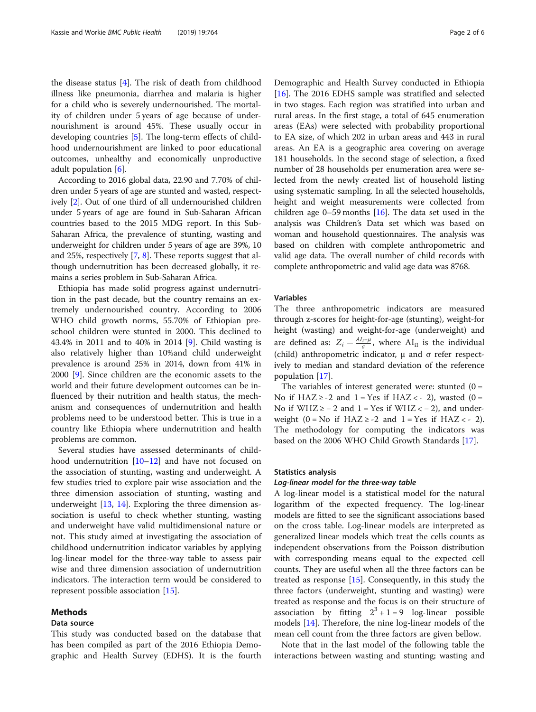the disease status [\[4\]](#page-5-0). The risk of death from childhood illness like pneumonia, diarrhea and malaria is higher for a child who is severely undernourished. The mortality of children under 5 years of age because of undernourishment is around 45%. These usually occur in developing countries [[5\]](#page-5-0). The long-term effects of childhood undernourishment are linked to poor educational outcomes, unhealthy and economically unproductive adult population [\[6](#page-5-0)].

According to 2016 global data, 22.90 and 7.70% of children under 5 years of age are stunted and wasted, respectively [\[2](#page-5-0)]. Out of one third of all undernourished children under 5 years of age are found in Sub-Saharan African countries based to the 2015 MDG report. In this Sub-Saharan Africa, the prevalence of stunting, wasting and underweight for children under 5 years of age are 39%, 10 and 25%, respectively [\[7](#page-5-0), [8\]](#page-5-0). These reports suggest that although undernutrition has been decreased globally, it remains a series problem in Sub-Saharan Africa.

Ethiopia has made solid progress against undernutrition in the past decade, but the country remains an extremely undernourished country. According to 2006 WHO child growth norms, 55.70% of Ethiopian preschool children were stunted in 2000. This declined to 43.4% in 2011 and to 40% in 2014 [\[9](#page-5-0)]. Child wasting is also relatively higher than 10%and child underweight prevalence is around 25% in 2014, down from 41% in 2000 [\[9](#page-5-0)]. Since children are the economic assets to the world and their future development outcomes can be influenced by their nutrition and health status, the mechanism and consequences of undernutrition and health problems need to be understood better. This is true in a country like Ethiopia where undernutrition and health problems are common.

Several studies have assessed determinants of child-hood undernutrition [\[10](#page-5-0)–[12\]](#page-5-0) and have not focused on the association of stunting, wasting and underweight. A few studies tried to explore pair wise association and the three dimension association of stunting, wasting and underweight [\[13](#page-5-0), [14\]](#page-5-0). Exploring the three dimension association is useful to check whether stunting, wasting and underweight have valid multidimensional nature or not. This study aimed at investigating the association of childhood undernutrition indicator variables by applying log-linear model for the three-way table to assess pair wise and three dimension association of undernutrition indicators. The interaction term would be considered to represent possible association [\[15\]](#page-5-0).

## Methods

#### Data source

This study was conducted based on the database that has been compiled as part of the 2016 Ethiopia Demographic and Health Survey (EDHS). It is the fourth

Demographic and Health Survey conducted in Ethiopia [[16\]](#page-5-0). The 2016 EDHS sample was stratified and selected in two stages. Each region was stratified into urban and rural areas. In the first stage, a total of 645 enumeration areas (EAs) were selected with probability proportional to EA size, of which 202 in urban areas and 443 in rural areas. An EA is a geographic area covering on average 181 households. In the second stage of selection, a fixed number of 28 households per enumeration area were selected from the newly created list of household listing using systematic sampling. In all the selected households, height and weight measurements were collected from children age  $0-59$  months [\[16\]](#page-5-0). The data set used in the analysis was Children's Data set which was based on woman and household questionnaires. The analysis was based on children with complete anthropometric and valid age data. The overall number of child records with complete anthropometric and valid age data was 8768.

## Variables

The three anthropometric indicators are measured through z-scores for height-for-age (stunting), weight-for height (wasting) and weight-for-age (underweight) and are defined as:  $Z_i = \frac{AI_i - \mu}{\sigma}$ , where  $AI_{iI}$  is the individual (child) anthropometric indicator, μ and σ refer respectively to median and standard deviation of the reference population [[17\]](#page-5-0).

The variables of interest generated were: stunted  $(0 =$ No if  $HAZ \ge -2$  and  $1 = Yes$  if  $HAZ \le -2$ ), wasted (0 = No if  $WHZ ≥ -2$  and  $1 = Yes$  if  $WHZ < -2$ ), and underweight  $(0 = No$  if  $HAZ \ge -2$  and  $1 = Yes$  if  $HAZ \le -2$ ). The methodology for computing the indicators was based on the 2006 WHO Child Growth Standards [[17](#page-5-0)].

## Statistics analysis

### Log-linear model for the three-way table

A log-linear model is a statistical model for the natural logarithm of the expected frequency. The log-linear models are fitted to see the significant associations based on the cross table. Log-linear models are interpreted as generalized linear models which treat the cells counts as independent observations from the Poisson distribution with corresponding means equal to the expected cell counts. They are useful when all the three factors can be treated as response [[15\]](#page-5-0). Consequently, in this study the three factors (underweight, stunting and wasting) were treated as response and the focus is on their structure of association by fitting  $2^3 + 1 = 9$  log-linear possible models [\[14\]](#page-5-0). Therefore, the nine log-linear models of the mean cell count from the three factors are given bellow.

Note that in the last model of the following table the interactions between wasting and stunting; wasting and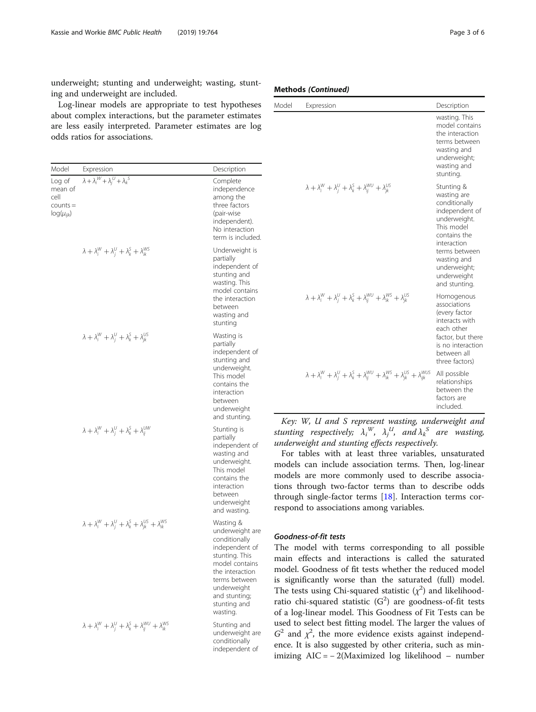underweight; stunting and underweight; wasting, stunting and underweight are included.

Log-linear models are appropriate to test hypotheses about complex interactions, but the parameter estimates are less easily interpreted. Parameter estimates are log odds ratios for associations.

| Model                                                       | Expression                                                                                  | Description                                                                                                                                                                                         |
|-------------------------------------------------------------|---------------------------------------------------------------------------------------------|-----------------------------------------------------------------------------------------------------------------------------------------------------------------------------------------------------|
| Log of<br>mean of<br>cell<br>$counts =$<br>$log(\mu_{ijk})$ | $\lambda + \lambda_i^{\mathcal{W}} + \lambda_i^{\mathcal{U}} + \lambda_k^{\mathcal{S}}$     | Complete<br>independence<br>among the<br>three factors<br>(pair-wise<br>independent).<br>No interaction<br>term is included.                                                                        |
|                                                             | $\lambda + \lambda_i^W + \lambda_i^U + \lambda_k^S + \lambda_{ik}^{WS}$                     | Underweight is<br>partially<br>independent of<br>stunting and<br>wasting. This<br>model contains<br>the interaction<br>between<br>wasting and<br>stunting                                           |
|                                                             | $\lambda + \lambda_i^W + \lambda_i^U + \lambda_k^S + \lambda_{ik}^{US}$                     | Wasting is<br>partially<br>independent of<br>stunting and<br>underweight.<br>This model<br>contains the<br>interaction<br>between<br>underweight<br>and stunting.                                   |
|                                                             | $\lambda + \lambda_i^W + \lambda_i^U + \lambda_k^S + \lambda_{ii}^{UW}$                     | Stunting is<br>partially<br>independent of<br>wasting and<br>underweight.<br>This model<br>contains the<br>interaction<br>between<br>underweight<br>and wasting.                                    |
|                                                             | $\lambda + \lambda_i^W + \lambda_i^U + \lambda_k^S + \lambda_{ik}^{US} + \lambda_{ik}^{WS}$ | Wasting &<br>underweight are<br>conditionally<br>independent of<br>stunting. This<br>model contains<br>the interaction<br>terms between<br>underweight<br>and stunting;<br>stunting and<br>wasting. |
|                                                             | $\lambda + \lambda_i^W + \lambda_i^U + \lambda_k^S + \lambda_{ij}^{WU} + \lambda_{ik}^{WS}$ | Stunting and<br>underweight are<br>conditionally<br>independent of                                                                                                                                  |

## Methods (Continued)

| Model | Expression                                                                                                                            | Description                                                                                                                                                                                               |
|-------|---------------------------------------------------------------------------------------------------------------------------------------|-----------------------------------------------------------------------------------------------------------------------------------------------------------------------------------------------------------|
|       |                                                                                                                                       | wasting. This<br>model contains<br>the interaction<br>terms between<br>wasting and<br>underweight;<br>wasting and<br>stunting.                                                                            |
|       | $\lambda + \lambda_i^W + \lambda_i^U + \lambda_k^S + \lambda_{ii}^{WU} + \lambda_{ik}^{US}$                                           | Stunting &<br>wasting are<br>conditionally<br>independent of<br>underweight.<br>This model<br>contains the<br>interaction<br>terms between<br>wasting and<br>underweight;<br>underweight<br>and stunting. |
|       | $\lambda + \lambda_i^W + \lambda_i^U + \lambda_k^S + \lambda_{ii}^{WU} + \lambda_{ik}^{WS} + \lambda_{ik}^{US}$                       | Homogenous<br>associations<br>(every factor<br>interacts with<br>each other<br>factor, but there<br>is no interaction<br>between all<br>three factors)                                                    |
|       | $\lambda + \lambda_i^W + \lambda_i^U + \lambda_k^S + \lambda_{ii}^{WU} + \lambda_{ik}^{WS} + \lambda_{ik}^{US} + \lambda_{iik}^{WUS}$ | All possible<br>relationships<br>between the<br>factors are<br>included.                                                                                                                                  |

Key: W, U and S represent wasting, underweight and stunting respectively;  $\lambda_i^W$ ,  $\lambda_j^U$ , and  $\lambda_k^S$  are wasting, underweight and stunting effects respectively.

For tables with at least three variables, unsaturated models can include association terms. Then, log-linear models are more commonly used to describe associations through two-factor terms than to describe odds through single-factor terms [[18](#page-5-0)]. Interaction terms correspond to associations among variables.

## Goodness-of-fit tests

The model with terms corresponding to all possible main effects and interactions is called the saturated model. Goodness of fit tests whether the reduced model is significantly worse than the saturated (full) model. The tests using Chi-squared statistic  $(\chi^2)$  and likelihoodratio chi-squared statistic  $(G^2)$  are goodness-of-fit tests of a log-linear model. This Goodness of Fit Tests can be used to select best fitting model. The larger the values of  $G<sup>2</sup>$  and  $\chi<sup>2</sup>$ , the more evidence exists against independence. It is also suggested by other criteria, such as minimizing AIC = − 2(Maximized log likelihood – number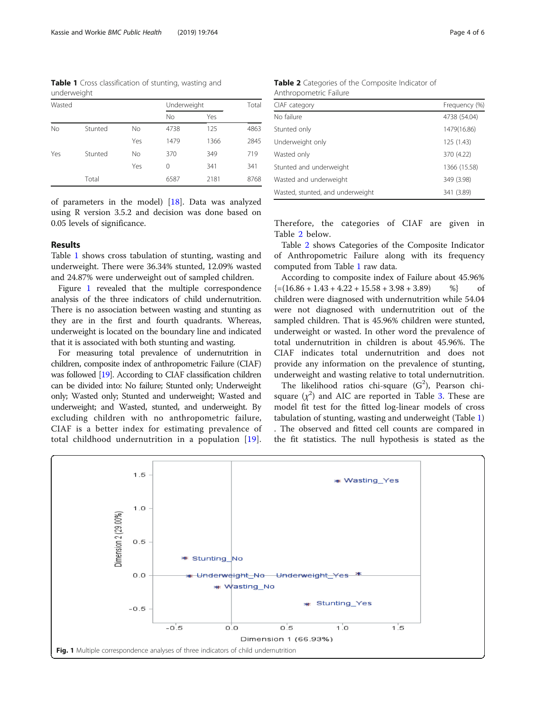Table 1 Cross classification of stunting, wasting and underweight

| Wasted |         |     | Underweight |      | Total |  |
|--------|---------|-----|-------------|------|-------|--|
|        |         |     | <b>No</b>   | Yes  |       |  |
| No     | Stunted | No  | 4738        | 125  | 4863  |  |
|        |         | Yes | 1479        | 1366 | 2845  |  |
| Yes    | Stunted | No  | 370         | 349  | 719   |  |
|        |         | Yes | 0           | 341  | 341   |  |
|        | Total   |     | 6587        | 2181 | 8768  |  |

of parameters in the model) [[18\]](#page-5-0). Data was analyzed using R version 3.5.2 and decision was done based on 0.05 levels of significance.

## Results

Table 1 shows cross tabulation of stunting, wasting and underweight. There were 36.34% stunted, 12.09% wasted and 24.87% were underweight out of sampled children.

Figure 1 revealed that the multiple correspondence analysis of the three indicators of child undernutrition. There is no association between wasting and stunting as they are in the first and fourth quadrants. Whereas, underweight is located on the boundary line and indicated that it is associated with both stunting and wasting.

For measuring total prevalence of undernutrition in children, composite index of anthropometric Failure (CIAF) was followed [[19\]](#page-5-0). According to CIAF classification children can be divided into: No failure; Stunted only; Underweight only; Wasted only; Stunted and underweight; Wasted and underweight; and Wasted, stunted, and underweight. By excluding children with no anthropometric failure, CIAF is a better index for estimating prevalence of total childhood undernutrition in a population [[19](#page-5-0)].

Table 2 Categories of the Composite Indicator of Anthropometric Failure

| CIAF category                    | Frequency (%) |
|----------------------------------|---------------|
| No failure                       | 4738 (54.04)  |
| Stunted only                     | 1479(16.86)   |
| Underweight only                 | 125 (1.43)    |
| Wasted only                      | 370 (4.22)    |
| Stunted and underweight          | 1366 (15.58)  |
| Wasted and underweight           | 349 (3.98)    |
| Wasted, stunted, and underweight | 341 (3.89)    |

Therefore, the categories of CIAF are given in Table 2 below.

Table 2 shows Categories of the Composite Indicator of Anthropometric Failure along with its frequency computed from Table 1 raw data.

According to composite index of Failure about 45.96%  $\{=(16.86 + 1.43 + 4.22 + 15.58 + 3.98 + 3.89) \qquad \% \}$  of children were diagnosed with undernutrition while 54.04 were not diagnosed with undernutrition out of the sampled children. That is 45.96% children were stunted, underweight or wasted. In other word the prevalence of total undernutrition in children is about 45.96%. The CIAF indicates total undernutrition and does not provide any information on the prevalence of stunting, underweight and wasting relative to total undernutrition.

The likelihood ratios chi-square  $(G^2)$ , Pearson chisquare  $(\chi^2)$  and AIC are reported in Table [3.](#page-4-0) These are model fit test for the fitted log-linear models of cross tabulation of stunting, wasting and underweight (Table 1) . The observed and fitted cell counts are compared in the fit statistics. The null hypothesis is stated as the

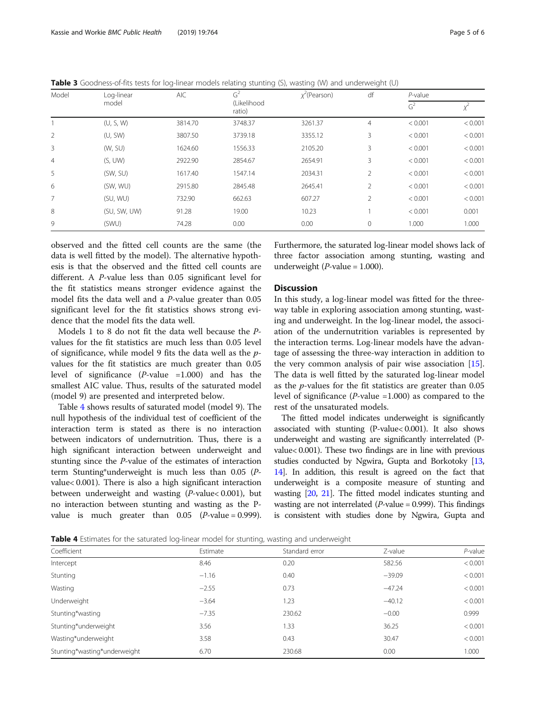| Model          | Log-linear   | <b>AIC</b> | G <sup>2</sup>        | $x^2$ (Pearson) | df<br>$P$ -value<br>G <sup>2</sup> |         |         |
|----------------|--------------|------------|-----------------------|-----------------|------------------------------------|---------|---------|
|                | model        |            | (Likelihood<br>ratio) |                 |                                    | Ā.      |         |
|                | (U, S, W)    | 3814.70    | 3748.37               | 3261.37         | $\overline{4}$                     | < 0.001 | < 0.001 |
| 2              | (U, SW)      | 3807.50    | 3739.18               | 3355.12         | 3                                  | < 0.001 | < 0.001 |
| 3              | (W, SU)      | 1624.60    | 1556.33               | 2105.20         | 3                                  | < 0.001 | < 0.001 |
| $\overline{4}$ | (S, UW)      | 2922.90    | 2854.67               | 2654.91         | 3                                  | < 0.001 | < 0.001 |
| 5              | (SW, SU)     | 1617.40    | 1547.14               | 2034.31         | 2                                  | < 0.001 | < 0.001 |
| 6              | (SW, WU)     | 2915.80    | 2845.48               | 2645.41         | 2                                  | < 0.001 | < 0.001 |
| $\overline{7}$ | (SU, WU)     | 732.90     | 662.63                | 607.27          | $\overline{2}$                     | < 0.001 | < 0.001 |
| 8              | (SU, SW, UW) | 91.28      | 19.00                 | 10.23           |                                    | < 0.001 | 0.001   |
| 9              | (SWU)        | 74.28      | 0.00                  | 0.00            | 0                                  | 1.000   | 1.000   |

<span id="page-4-0"></span>Table 3 Goodness-of-fits tests for log-linear models relating stunting (S), wasting (W) and underweight (U)

observed and the fitted cell counts are the same (the data is well fitted by the model). The alternative hypothesis is that the observed and the fitted cell counts are different. A P-value less than 0.05 significant level for the fit statistics means stronger evidence against the model fits the data well and a P-value greater than 0.05 significant level for the fit statistics shows strong evidence that the model fits the data well.

Models 1 to 8 do not fit the data well because the Pvalues for the fit statistics are much less than 0.05 level of significance, while model 9 fits the data well as the pvalues for the fit statistics are much greater than 0.05 level of significance  $(P$ -value =1.000) and has the smallest AIC value. Thus, results of the saturated model (model 9) are presented and interpreted below.

Table 4 shows results of saturated model (model 9). The null hypothesis of the individual test of coefficient of the interaction term is stated as there is no interaction between indicators of undernutrition. Thus, there is a high significant interaction between underweight and stunting since the P-value of the estimates of interaction term Stunting\*underweight is much less than 0.05 (Pvalue< 0.001). There is also a high significant interaction between underweight and wasting (P-value< 0.001), but no interaction between stunting and wasting as the Pvalue is much greater than  $0.05$  (*P*-value = 0.999).

Furthermore, the saturated log-linear model shows lack of three factor association among stunting, wasting and underweight ( $P$ -value = 1.000).

## **Discussion**

In this study, a log-linear model was fitted for the threeway table in exploring association among stunting, wasting and underweight. In the log-linear model, the association of the undernutrition variables is represented by the interaction terms. Log-linear models have the advantage of assessing the three-way interaction in addition to the very common analysis of pair wise association [\[15](#page-5-0)]. The data is well fitted by the saturated log-linear model as the  $p$ -values for the fit statistics are greater than  $0.05$ level of significance ( $P$ -value =1.000) as compared to the rest of the unsaturated models.

The fitted model indicates underweight is significantly associated with stunting (P-value< 0.001). It also shows underweight and wasting are significantly interrelated (Pvalue< 0.001). These two findings are in line with previous studies conducted by Ngwira, Gupta and Borkotoky [\[13](#page-5-0), [14](#page-5-0)]. In addition, this result is agreed on the fact that underweight is a composite measure of stunting and wasting [[20](#page-5-0), [21\]](#page-5-0). The fitted model indicates stunting and wasting are not interrelated ( $P$ -value = 0.999). This findings is consistent with studies done by Ngwira, Gupta and

**Table 4** Estimates for the saturated log-linear model for stunting, wasting and underweight

| Coefficient                  | $\tilde{}$<br>Estimate | $\sim$<br>$\tilde{}$<br>Standard error | Z-value  | $P$ -value |
|------------------------------|------------------------|----------------------------------------|----------|------------|
| Intercept                    | 8.46                   | 0.20                                   | 582.56   | < 0.001    |
| Stunting                     | $-1.16$                | 0.40                                   | $-39.09$ | < 0.001    |
| Wasting                      | $-2.55$                | 0.73                                   | $-47.24$ | < 0.001    |
| Underweight                  | $-3.64$                | 1.23                                   | $-40.12$ | < 0.001    |
| Stunting*wasting             | $-7.35$                | 230.62                                 | $-0.00$  | 0.999      |
| Stunting*underweight         | 3.56                   | 1.33                                   | 36.25    | < 0.001    |
| Wasting*underweight          | 3.58                   | 0.43                                   | 30.47    | < 0.001    |
| Stunting*wasting*underweight | 6.70                   | 230.68                                 | 0.00     | 1.000      |